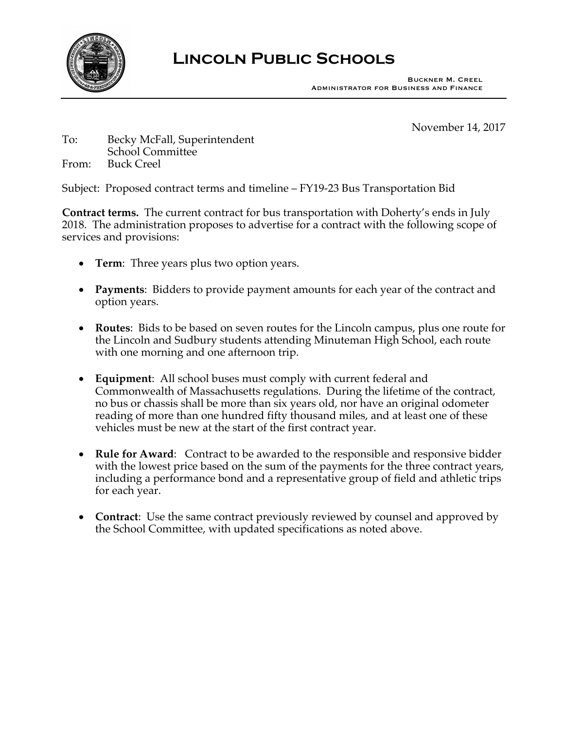

## **Lincoln Public Schools**

November 14, 2017

## To: Becky McFall, Superintendent School Committee From: Buck Creel

Subject: Proposed contract terms and timeline – FY19-23 Bus Transportation Bid

**Contract terms.** The current contract for bus transportation with Doherty's ends in July 2018. The administration proposes to advertise for a contract with the following scope of services and provisions:

- **Term**: Three years plus two option years.
- **Payments**: Bidders to provide payment amounts for each year of the contract and option years.
- **Routes**: Bids to be based on seven routes for the Lincoln campus, plus one route for the Lincoln and Sudbury students attending Minuteman High School, each route with one morning and one afternoon trip.
- **Equipment**: All school buses must comply with current federal and Commonwealth of Massachusetts regulations. During the lifetime of the contract, no bus or chassis shall be more than six years old, nor have an original odometer reading of more than one hundred fifty thousand miles, and at least one of these vehicles must be new at the start of the first contract year.
- **Rule for Award**: Contract to be awarded to the responsible and responsive bidder with the lowest price based on the sum of the payments for the three contract years, including a performance bond and a representative group of field and athletic trips for each year.
- **Contract**: Use the same contract previously reviewed by counsel and approved by the School Committee, with updated specifications as noted above.